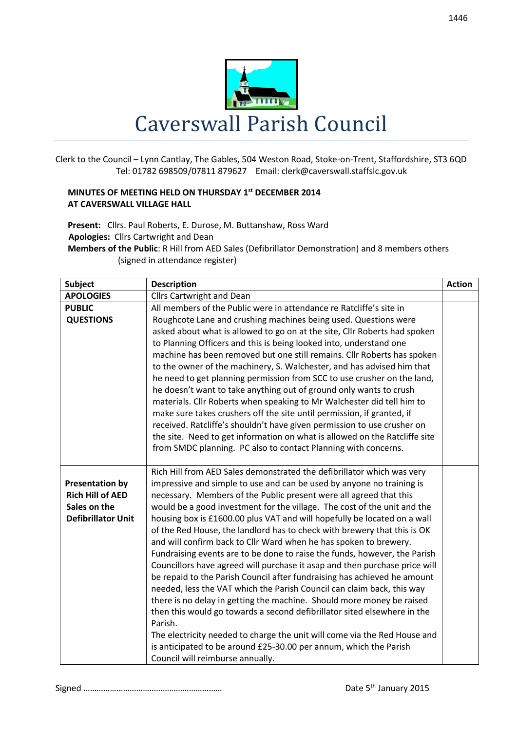

Clerk to the Council – Lynn Cantlay, The Gables, 504 Weston Road, Stoke-on-Trent, Staffordshire, ST3 6QD Tel: 01782 698509/07811 879627 Email: clerk@caverswall.staffslc.gov.uk

## **MINUTES OF MEETING HELD ON THURSDAY 1 st DECEMBER 2014 AT CAVERSWALL VILLAGE HALL**

**Present:** Cllrs. Paul Roberts, E. Durose, M. Buttanshaw, Ross Ward  **Apologies:** Cllrs Cartwright and Dean

**Members of the Public**: R Hill from AED Sales (Defibrillator Demonstration) and 8 members others (signed in attendance register)

| <b>Subject</b>            | <b>Description</b>                                                         | <b>Action</b> |
|---------------------------|----------------------------------------------------------------------------|---------------|
| <b>APOLOGIES</b>          | <b>Cllrs Cartwright and Dean</b>                                           |               |
| <b>PUBLIC</b>             | All members of the Public were in attendance re Ratcliffe's site in        |               |
| <b>QUESTIONS</b>          | Roughcote Lane and crushing machines being used. Questions were            |               |
|                           | asked about what is allowed to go on at the site, Cllr Roberts had spoken  |               |
|                           | to Planning Officers and this is being looked into, understand one         |               |
|                           | machine has been removed but one still remains. Cllr Roberts has spoken    |               |
|                           | to the owner of the machinery, S. Walchester, and has advised him that     |               |
|                           | he need to get planning permission from SCC to use crusher on the land,    |               |
|                           | he doesn't want to take anything out of ground only wants to crush         |               |
|                           | materials. Cllr Roberts when speaking to Mr Walchester did tell him to     |               |
|                           | make sure takes crushers off the site until permission, if granted, if     |               |
|                           | received. Ratcliffe's shouldn't have given permission to use crusher on    |               |
|                           | the site. Need to get information on what is allowed on the Ratcliffe site |               |
|                           | from SMDC planning. PC also to contact Planning with concerns.             |               |
|                           |                                                                            |               |
|                           | Rich Hill from AED Sales demonstrated the defibrillator which was very     |               |
| <b>Presentation by</b>    | impressive and simple to use and can be used by anyone no training is      |               |
| <b>Rich Hill of AED</b>   | necessary. Members of the Public present were all agreed that this         |               |
| Sales on the              | would be a good investment for the village. The cost of the unit and the   |               |
| <b>Defibrillator Unit</b> | housing box is £1600.00 plus VAT and will hopefully be located on a wall   |               |
|                           | of the Red House, the landlord has to check with brewery that this is OK   |               |
|                           | and will confirm back to Cllr Ward when he has spoken to brewery.          |               |
|                           | Fundraising events are to be done to raise the funds, however, the Parish  |               |
|                           | Councillors have agreed will purchase it asap and then purchase price will |               |
|                           | be repaid to the Parish Council after fundraising has achieved he amount   |               |
|                           | needed, less the VAT which the Parish Council can claim back, this way     |               |
|                           | there is no delay in getting the machine. Should more money be raised      |               |
|                           | then this would go towards a second defibrillator sited elsewhere in the   |               |
|                           | Parish.                                                                    |               |
|                           | The electricity needed to charge the unit will come via the Red House and  |               |
|                           | is anticipated to be around £25-30.00 per annum, which the Parish          |               |
|                           | Council will reimburse annually.                                           |               |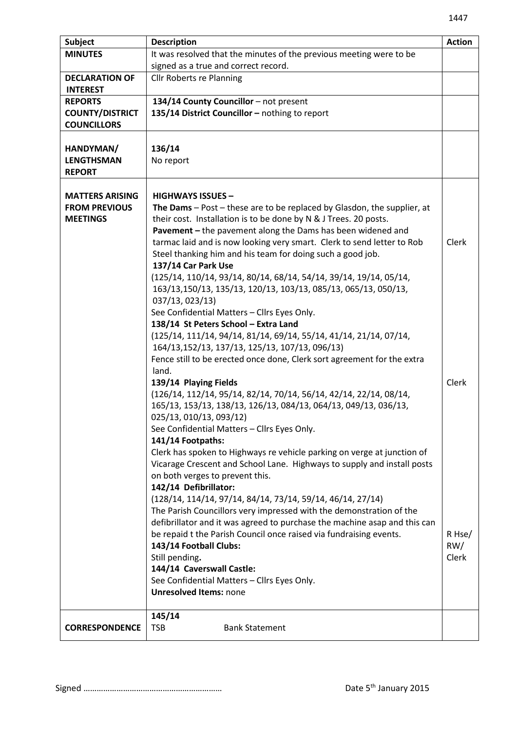| <b>Subject</b>         | <b>Description</b>                                                          | <b>Action</b> |
|------------------------|-----------------------------------------------------------------------------|---------------|
| <b>MINUTES</b>         | It was resolved that the minutes of the previous meeting were to be         |               |
|                        | signed as a true and correct record.                                        |               |
| <b>DECLARATION OF</b>  | <b>Cllr Roberts re Planning</b>                                             |               |
| <b>INTEREST</b>        |                                                                             |               |
| <b>REPORTS</b>         | 134/14 County Councillor - not present                                      |               |
| <b>COUNTY/DISTRICT</b> | 135/14 District Councillor - nothing to report                              |               |
| <b>COUNCILLORS</b>     |                                                                             |               |
|                        |                                                                             |               |
| HANDYMAN/              | 136/14                                                                      |               |
| <b>LENGTHSMAN</b>      | No report                                                                   |               |
| <b>REPORT</b>          |                                                                             |               |
|                        |                                                                             |               |
| <b>MATTERS ARISING</b> | <b>HIGHWAYS ISSUES -</b>                                                    |               |
| <b>FROM PREVIOUS</b>   | The Dams $-$ Post $-$ these are to be replaced by Glasdon, the supplier, at |               |
| <b>MEETINGS</b>        | their cost. Installation is to be done by N & J Trees. 20 posts.            |               |
|                        | Pavement - the pavement along the Dams has been widened and                 |               |
|                        | tarmac laid and is now looking very smart. Clerk to send letter to Rob      | Clerk         |
|                        | Steel thanking him and his team for doing such a good job.                  |               |
|                        | 137/14 Car Park Use                                                         |               |
|                        | (125/14, 110/14, 93/14, 80/14, 68/14, 54/14, 39/14, 19/14, 05/14,           |               |
|                        | 163/13,150/13, 135/13, 120/13, 103/13, 085/13, 065/13, 050/13,              |               |
|                        | 037/13, 023/13)                                                             |               |
|                        | See Confidential Matters - Cllrs Eyes Only.                                 |               |
|                        | 138/14 St Peters School - Extra Land                                        |               |
|                        | (125/14, 111/14, 94/14, 81/14, 69/14, 55/14, 41/14, 21/14, 07/14,           |               |
|                        | 164/13,152/13, 137/13, 125/13, 107/13, 096/13)                              |               |
|                        | Fence still to be erected once done, Clerk sort agreement for the extra     |               |
|                        | land.                                                                       |               |
|                        | 139/14 Playing Fields                                                       | Clerk         |
|                        | (126/14, 112/14, 95/14, 82/14, 70/14, 56/14, 42/14, 22/14, 08/14,           |               |
|                        | 165/13, 153/13, 138/13, 126/13, 084/13, 064/13, 049/13, 036/13,             |               |
|                        | 025/13, 010/13, 093/12)                                                     |               |
|                        | See Confidential Matters - Cllrs Eyes Only.                                 |               |
|                        | 141/14 Footpaths:                                                           |               |
|                        | Clerk has spoken to Highways re vehicle parking on verge at junction of     |               |
|                        | Vicarage Crescent and School Lane. Highways to supply and install posts     |               |
|                        | on both verges to prevent this.                                             |               |
|                        | 142/14 Defibrillator:                                                       |               |
|                        | (128/14, 114/14, 97/14, 84/14, 73/14, 59/14, 46/14, 27/14)                  |               |
|                        | The Parish Councillors very impressed with the demonstration of the         |               |
|                        | defibrillator and it was agreed to purchase the machine asap and this can   |               |
|                        | be repaid t the Parish Council once raised via fundraising events.          | R Hse/        |
|                        | 143/14 Football Clubs:                                                      | RW/           |
|                        | Still pending.                                                              | Clerk         |
|                        | 144/14 Caverswall Castle:                                                   |               |
|                        | See Confidential Matters - Cllrs Eyes Only.                                 |               |
|                        | <b>Unresolved Items: none</b>                                               |               |
|                        |                                                                             |               |
|                        | 145/14                                                                      |               |
| <b>CORRESPONDENCE</b>  | <b>TSB</b><br><b>Bank Statement</b>                                         |               |
|                        |                                                                             |               |